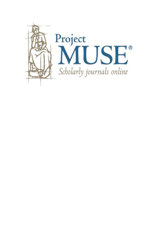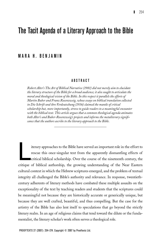# The Tacit Agenda of a Literary Approach to the Bible

**MARA H. BENJAMIN** 

# A b s t r a c t

*Robert Alter's The Art of Biblical Narrative (1981) did not merely aim to elucidate the literary structure of the Bible for a broad audience; it also sought to articulate the moral and theological vision of the Bible. In this respect it parallels the efforts of Martin Buber and Franz Rosenzweig, whose essays on biblical translation collected in Die Schrift und ihre Verdeutschung (1936) claimed the mantle of critical scholarship but, more importantly, strove to guide readers to a meaningful encounter with the biblical text. This article argues that a common theological agenda animates*  both Alter's and Buber-Rosenzweig's projects and informs the metaliterary signifi*cance that the authors ascribe to the literary approach to the Bible.*

iterary approaches to the Bible have served an important role in the effort to<br>rescue this once-singular text from the apparently dismantling effects of<br>critical biblical scholarship. Over the course of the nineteenth cent rescue this once-singular text from the apparently dismantling effects of critical biblical scholarship. Over the course of the nineteenth century, the critique of biblical authorship, the growing understanding of the Near Eastern cultural context in which the Hebrew scriptures emerged, and the problem of textual integrity all challenged the Bible's authority and relevance. In response, twentiethcentury adherents of literary methods have combated these multiple assaults on the exceptionality of the text by teaching readers and students that the scriptures could be meaningful not because they are historically accurate or generically unique, but because they are well crafted, beautiful, and thus compelling. But the case for the artistry of the Bible has also lent itself to speculations that go beyond the strictly literary realm. In an age of religious claims that tend toward the dilute or the fundamentalist, the literary scholar's work often serves a theological role.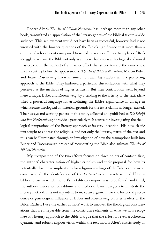Robert Alter's *The Art of Biblical Narrative* has, perhaps more than any other book, transmitted an appreciation of the literary genius of the biblical text to a wide audience. This achievement would not have been as successful, however, had it not wrestled with the broader questions of the Bible's significance that more than a century of scholarly criticism posed to would-be readers. This article places Alter's struggle to reclaim the Bible not only as a literary but also as a theological and moral masterpiece in the context of an earlier effort that strove toward the same ends. Half a century before the appearance of *The Art of Biblical Narrative*, Martin Buber and Franz Rosenzweig likewise aimed to reach lay readers with a pioneering approach to the Bible. They harbored a particular dissatisfaction with what they perceived as the methods of higher criticism. But their contribution went beyond mere critique; Buber and Rosenzweig, by attending to the artistry of the text, identified a powerful language for articulating the Bible's significance in an age in which secure theological or historical grounds for the text's claims no longer existed. Their essays and working papers on this topic, collected and published as *Die Schrift*  und ihre Verdeutschung,<sup>1</sup> provide a particularly rich source for investigating the theological temptations of the literary approach at its very inception. His now-classic text sought to address the religious, and not only the literary, status of the text and thus can be illuminated through an investigation of how the assumptions built into Buber and Rosenzweig's project of recuperating the Bible also animate *The Art of Biblical Narrative*.

My juxtaposition of the two efforts focuses on three points of contact: first, the authors' characterization of higher criticism and their proposal for how its potentially disruptive implications for religious readings of the Bible can be overcome; second, the identification of the *Leitwort* as a characteristic of Hebrew biblical prose in which the text's metaliterary import was to be found; and third, the authors' invocation of rabbinic and medieval Jewish exegesis to illustrate the literary method. It is not my intent to make an argument for the historical precedence or genealogical influence of Buber and Rosenzweig on later readers of the Bible. Rather, I use the earlier authors' work to uncover the theological considerations that are inseparable from the constitutive elements of what we now recognize as a literary approach to the Bible. I argue that the effort to reveal a coherent, dynamic, and robust religious vision within the text motors Alter's classic study of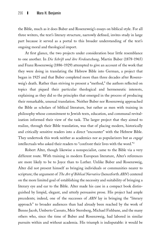the Bible, much as it does Buber and Rosenzweig's essays on biblical style. For all three writers, the text's literary structure, narrowly defined, invites study in large part because it served as a portal to this broader understanding of the text's ongoing moral and theological import.

At first glance, the two projects under consideration bear little resemblance to one another. In *Die Schrift und ihre Verdeutschung*, Martin Buber (1878–1965) and Franz Rosenzweig (1886–1929) attempted to give an account of the work that they were doing in translating the Hebrew Bible into German, a project that began in 1925 and that Buber completed more than three decades after Rosenzweig's death. Rather than striving to present a "method," the authors reflected on topics that piqued their particular theological and hermeneutic interests, explaining as they did so the principles that emerged in the process of producing their remarkable, unusual translation. Neither Buber nor Rosenzweig approached the Bible as scholars of biblical literature, but rather as men with training in philosophy whose commitment to Jewish texts, education, and communal revitalization informed their view of the task. The larger project that they aimed to realize, through their Bible translation, was that of placing modern, historically and critically sensitive readers into a direct "encounter" with the Hebrew Bible. They undertook this work neither as academics nor as popularizers but as *engagé* intellectuals who asked their readers to "confront their lives with the word."2

Robert Alter, though likewise a nonspecialist, came to the Bible via a very different route. With training in modern European literature, Alter's references are more likely to be to Joyce than to Luther. Unlike Buber and Rosenzweig, Alter did not present himself as bringing individuals or communities nearer to scripture; the argument of *The Art of Biblical Narrative* (henceforth *ABN*) centered on the more limited goal of establishing the necessity and suitability of bringing a literary eye and ear to the Bible. Alter made his case in a compact book distinguished by limpid, elegant, and utterly persuasive prose. His project had ample precedents; indeed, one of the successes of *ABN* lay in bringing the "literary approach" to broader audiences than had already been reached by the work of Benno Jacob, Umberto Cassuto, Meir Sternberg, Michael Fishbane, and the many others who, since the time of Buber and Rosenzweig, had labored in similar pursuits within and without academia. His triumph is indisputable: it would be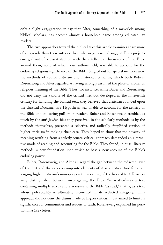only a slight exaggeration to say that Alter, something of a maverick among biblical scholars, has become almost a household name among educated lay readers.

The two approaches toward the biblical text this article examines share more of an agenda than their authors' dissimilar origins would suggest. Both projects emerged out of a dissatisfaction with the intellectual discussions of the Bible around them, none of which, our authors held, was able to account for the enduring religious significance of the Bible. Singled out for special mention were the methods of source criticism and historical criticism, which both Buber– Rosenzweig and Alter regarded as having wrongly assumed the place of arbiter of religious meaning of the Bible. Thus, for instance, while Buber and Rosenzweig did not deny the validity of the critical methods developed in the nineteenth century for handling the biblical text, they believed that criticism founded upon the classical Documentary Hypothesis was unable to account for the artistry of the Bible and its lasting pull on its readers. Buber and Rosenzweig, troubled as much by the anti-Jewish bias they perceived in the scholarly methods as by the methods themselves, presented a selective and radically simplified version of higher criticism in making their case. They hoped to show that the poverty of meaning resulting from a strictly source-critical approach demanded an alternative mode of reading and accounting for the Bible. They found, in quasi-literary methods, a new foundation upon which to base a new account of the Bible's enduring power.

Buber, Rosenzweig, and Alter all regard the gap between the redacted layer of the text and the various composite elements of it as a critical tool for chall lenging higher criticism's monopoly on the meaning of the biblical text. Rosenzweig distinguished between investigating the Bible "as written"—as a text containing multiple voices and visions—and the Bible "as read," that is, as a text whose polyvocality is ultimately reconciled in its redacted integrity.<sup>3</sup> This approach did not deny the claims made by higher criticism, but aimed to limit its significance for communities and readers of faith. Rosenzweig explained his position in a 1927 letter: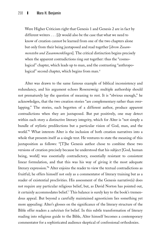Were Higher Criticism right that Genesis 1 and Genesis 2 are in fact by different writers . . . [i]t would also be the case that what we need to know of creation cannot be learned from one of the two chapters alone but only from their being juxtaposed and read together [*ihrem Zusamm menstehn und Zusammenklingen*]. The critical distinction begins precisely when the apparent contradictions ring out together: thus the "cosmological" chapter, which leads up to man, and the contrasting "anthropological" second chapter, which begins from man.<sup>4</sup>

Alter was drawn to the same famous example of biblical inconsistency and redundancy, and his argument echoes Rosenzweig: multiple authorship should not prematurely lay the question of meaning to rest. It is "obvious enough," he acknowledges, that the two creation stories "are complementary rather than overlapping." The stories, each begotten of a different author, produce apparent contradictions when they are juxtaposed. But put positively, one may detect within each story a distinctive literary integrity, which for Alter is "not simply a bundle of stylistic predilections but a particular vision of God, man, and the world."5 What interests Alter is the inclusion of both creation narratives into a whole that presents itself as a single text. He ventures to state the meaning of this juxtaposition as follows: "[T]he Genesis author chose to combine these two versions of creation precisely because he understood that his subject [God, human being, world] was essentially contradictory, essentially resistant to consistent linear formulation, and that this was his way of giving it the most adequate literary expression."6 Alter enjoins the reader to view the textual contradictions as fruitful; he offers himself not only as a commentator of literary training but as a reader of existential proclivities. His assessment of the Genesis narrative(s) does not require any particular religious belief, but, as David Norton has pointed out, it certainly accommodates belief.<sup>7</sup> This balance is surely key to the book's tremendous appeal. But beyond a carefully maintained agnosticism lies something yet more appealing: Alter's glosses on the significance of the literary structure of the Bible offer readers a *substitute* for belief. In this subtle transformation of literary reading into religious guide to the Bible, Alter himself becomes a contemporary commentator for a sophisticated audience skeptical of confessional orthodoxies.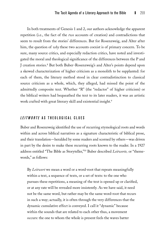In both treatments of Genesis 1 and 2, our authors acknowledge the apparent repetition (i.e., the fact of the *two* accounts of creation) and contradictions that seem to result from the stories' differences. But for Rosenzweig, and Alter after him, the question of *why* these two accounts coexist is of primary concern. To be sure, many source critics, and especially redaction critics, have noted and investigated the moral and theological significance of the differences between the P and J creation stories.<sup>8</sup> But both Buber-Rosenzweig's and Alter's points depend upon a skewed characterization of higher criticism as a monolith to be supplanted: for each of them, the literary method stood in clear contradistinction to classical source criticism as a whole, which, they alleged, had missed the point of the admittedly composite text. Whether "R" (the "redactor" of higher criticism) or the biblical writers had bequeathed the text to its later readers, it was an artistic work crafted with great literary skill and existential insight.<sup>9</sup>

# *LEITWORTE* AS THEOLOGICAL CLUES

Buber and Rosenzweig identified the use of recurring etymological roots and words within and across biblical narratives as a signature characteristic of biblical prose, and their translation—heralded by some readers and scorned by others—was driven in part by the desire to make these recurring roots known to the reader. In a 1927 address entitled "The Bible as Storyteller,"10 Buber described *Leitworte,* or "themewords," as follows:

By *Leitwort* we mean a word or a word-root that repeats meaningfully within a text, a sequence of texts, or a set of texts: to the one who pursues these repetitions, a meaning of the text is opened up or clarified, or at any rate will be revealed more insistently. As we have said, it need not be the same word, but rather may be the same word-root that recurs in such a way; actually, it is often through the very differences that the dynamic cumulative effect is conveyed. I call it "dynamic" because within the sounds that are related to each other thus, a movement occurs: the one to whom the whole is present feels the waves batter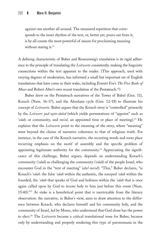against one another all around. The measured repetition that corresponds to the inner rhythm of the text, or, better yet, pours out from it, is by all counts the most powerful of means for proclaiming meaning without stating it.<sup>11</sup>

A defining characteristic of Buber and Rosenzweig's translation is its rigid adherence to the principle of translating the *Leitworte* consistently, making the linguistic connections within the text apparent to the reader. (This approach, used with varying degrees of moderation, has informed a small but important set of English translations that have come in their wake, including Everett Fox's *The Five Books of Moses* and Robert Alter's own recent translation of the Pentateuch.<sup>12</sup>)

Buber drew on the Pentateuch narratives of the Tower of Babel (Gen. 11), Korach (Num. 16–17), and the Abraham cycle (Gen. 12–18) to illustrate his concept of *Leitworte*. Buber argues that the Korach story is "controlled" primarily by the *Leitwort yud-ayin-daled* (which yields permutations of "appoint" such as *'edah,* or community, and *mo'ed,* an appointed time or place of meeting).13 He explains that the *Leitworte* point to the meaning of the story, where "meaning" went beyond the claims of narrative coherence to that of religious truth. For instance, in the case of the Korach narrative, the recurring words and roots place recurring emphasis on the motif of assembly and the specific problem of appointing legitimate authority for the community.<sup>14</sup> Appreciating the significance of this challenge, Buber argues, depends on understanding Korach's community (*'edah*) as challenging the community (*'edah*) of the people Israel, who encounter God in the "tent of meeting" (*ohel mo'ed*): "This," Buber declares, "is Korach's '*edah*: the false *'edah* within the authentic, the usurped *'edah* within the founded, the *'edah* that speaks of God and holiness within the *'edah* that is once again called upon by God to *become* holy to him just before this event (Num. 15:40)."15 At stake is a homiletical point that is inextricable from the literary observation: the narrative, in Buber's view, aims to draw attention to the difference between Korach, who declares himself and his community holy, and the community of Israel, led by Moses, who understand that God alone has the power to elect.16 The *Leitworte* became a critical translational issue for Buber, because only by understanding and properly rendering this type of paronomasia in the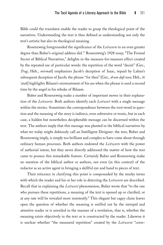Bible could the translator enable the reader to grasp the theological point of the narratives. Understanding the text is thus defined as understanding not only the text's artistic but also its theological meaning.

Rosenzweig foregrounded the significance of the *Leitworte* to an even greater degree than Buber's original address did.17 Rosenzweig's 1928 essay, "The Formal Secret of Biblical Narratives," delights in the measure-for-measure effect created by the repeated use of particular words: the repetition of the word "deceit" (Ger., *Trug*; Heb., *mirmah*] emphasizes Jacob's deception of Isaac, repaid by Laban's subsequent deception of Jacob; the phrase "for then" [Ger., *drum daß nun*; Heb., *ki 'atah*] highlights Bilaam's mistreatment of his ass when the phrase is used a second time by the angel in his rebuke of Bilaam.

Buber and Rosenzweig make a number of important moves in their explanation of the *Leitworte*. Both authors identify each *Leitwort* with a single message within the stories. Sometimes the correspondence between the root-word in question and the meaning of the story is indirect, even subversive or ironic, but in each case, a hidden but nonetheless decipherable message can be discerned within the text. The authors imply that this message was planted in the biblical narratives by what we today might dubiously call an Intelligent Designer: the text, Buber and Rosenzweig imply, is simply too brilliant and complex to have come about through ordinary human processes. Both authors endowed the *Leitworte* with the power of authorial intent, but they never directly addressed the matter of how the text came to possess this remarkable feature. Certainly Buber and Rosenzweig make no mention of the biblical author or authors, nor even (in this context) of the redactor as an active agent in bringing a skillful eye and hand to pieces of text.

Their reticence in clarifying this point is compounded by the murky terms with which the reader and his or her role in detecting the *Leitworte* are described. Recall that in explaining the *Leitwort* phenomenon, Buber wrote that "to the one who pursues these repetitions, a meaning of the text is opened up or clarified, or at any rate will be revealed more insistently." This elegant but cagey claim leaves open the question of whether the meaning is sniffed out by the intrepid and attentive reader or is unveiled in the manner of a revelation, that is, whether the meaning exists objectively in the text or is constructed by the reader. Likewise it is unclear whether "the measured repetition" created by the *Leitworte* "corre-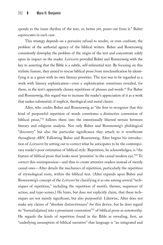sponds to the inner rhythm of the text, or, better yet, pours out from it." Buber equivocates in each case.

This strategy depends on a pervasive refusal to resolve, or even confront, the problem of the authorial agency of the biblical writers. Buber and Rosenzweig consistently downplay the problem of the origin of the text and concentrate solely upon its impact on the reader. *Leitworte* provided Buber and Rosenzweig with the key to asserting that the Bible is a subtle, self-referential text. By focusing on this stylistic feature, they aimed to rescue biblical prose from misclassification by identifying it as a genre with its own literary priorities. The text was to be regarded as a work with literary sophistication—even a sophistication sometimes revealed, for them, in the text's apparently clumsy repetitions of phrases and words.18 For Buber and Rosenzweig, this regard was to increase the reader's appreciation of it as a work that makes substantial, if implicit, theological and moral claims.

Alter, who credits Buber and Rosenzweig as "the first to recognize that this kind of purposeful repetition of words constitutes a distinctive convention of biblical prose,"19 follows them into the intentionally blurred terrain between literary and religious analysis. Not only Buber and Rosenzweig's philological "discovery" but also the particular significance they attach to it reverberate throughout *ABN*. Following Buber and Rosenzweig, Alter begins his introduction of *Leitworte* by setting out to correct what he anticipates to be the contemporary reader's poor estimation of biblical style. Repetition, he acknowledges, is "the feature of biblical prose that looks most 'primitive' to the casual modern eye."20 To correct this misimpression—and thus to create attentive readers instead of merely casual ones—Alter details the mechanics of repetition, particularly the repetition of etymological roots, within the biblical text. (Alter expands upon Buber and Rosenzweig's concept of the *Leitwort* by classifying it as one among several "techniques of repetition," including the repetition of motifs, themes, sequences of action, and type-scenes.) He hints, but does not explicitly claim, that these techniques are not merely significant, but also purposeful. Likewise, Alter does not make any claims of "absolute distinctiveness" for this device, but he does regard its "formaliz[ation] into a prominent convention"21 of biblical prose as noteworthy. He regards the kinds of repetition found in the Bible as revealing, first, an "underlying assumption of biblical narrative" that language is "an integrated and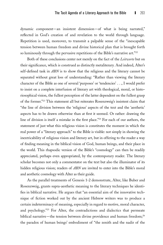dynamic component—an insistent dimension—of what is being narrated," reflected in God's creation of and revelation to the world through language. Repetition is used, moreover, to transmit a palpable sense of the "inescapable tension between human freedom and divine historical plan that is brought forth so luminously through the pervasive repetitions of the Bible's narrative art."<sup>22</sup>

Both of these conclusions center not merely on the fact of the *Leitworte* but on their significance, which is construed as distinctly metaliterary. And indeed, Alter's self-defined task in *ABN* is to show that the religious and the literary cannot be separated without great loss of understanding: "Rather than viewing the literary character of the Bible as one of several 'purposes' or 'tendencies' . . ., I would prefer to insist on a complete interfusion of literary art with theological, moral, or historiosophical vision, the fullest perception of the latter dependent on the fullest grasp of the former."23 This statement all but reiterates Rosenzweig's insistent claim that "the line of division between the 'religious' aspects of the text and the 'aesthetic' aspects has to be drawn otherwise than at first it seemed. Or rather: drawing the line of division is itself a mistake in the first place."24 For each of our authors, the statement of just what this religious vision is constitutes the moment in which the real power of a "literary approach" to the Bible is visible: not simply in showing the inextricability of religious vision and literary art, but in offering to the reader a way of finding meaning in the biblical vision of God, human beings, and their place in the world. This rhapsodic version of the Bible's "cosmology" can then be readily appreciated, perhaps even appropriated, by the contemporary reader. The literary scholar becomes not only a commentator on the text but also the illuminator of its hidden religious vision; readers of *ABN* are invited to enter into the Bible's moral and aesthetic cosmology with Alter as their guide.

As the parallel treatments of Genesis 1–2 demonstrate, Alter, like Buber and Rosenzweig, grants supra-aesthetic meaning to the literary techniques he identifies in biblical narrative. He argues that "an essential aim of the innovative technique of fiction worked out by the ancient Hebrew writers was to produce a certain indeterminacy of meaning, especially in regard to motive, moral character, and psychology."25 For Alter, the contradictions and dialectics that permeate biblical narrative—the tension between divine providence and human freedom;<sup>26</sup> the paradox of human beings' embodiment of "the zenith and the nadir of the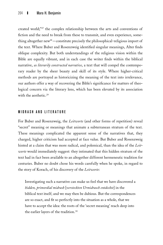created world;"27 the complex relationship between the arts and conventions of fiction and the need to break from these to transmit, and even experience, something altogether new<sup>28</sup>—constitute precisely the philosophical-religious import of the text. Where Buber and Rosenzweig identified singular meanings, Alter finds oblique complexity. But both understandings of the religious vision within the Bible are equally vibrant, and in each case the writer finds within the biblical narrative, *as literarily constructed narrative*, a text that will compel the contemporary reader by the sheer beauty and skill of its style. Where higher-critical methods are portrayed as historicizing the meaning of the text into irrelevance, our authors offer a way of recovering the Bible's significance for matters of theological concern via the literary lens, which has been elevated by its association with the aesthetic.<sup>29</sup>

# **MIDRASH AND LITERATURE**

For Buber and Rosenzweig, the *Leitworte* (and other forms of repetition) reveal "secret" meaning or meanings that animate a subterranean stratum of the text. These meanings complicated the apparent sense of the narratives that, they charged, higher criticism had accepted at face value. But Buber and Rosenzweig hinted at a claim that was more radical, and polemical, than the idea of the *Leitworte* would immediately suggest: they intimated that this hidden stratum of the text had in fact been available to an altogether different hermeneutic tradition for centuries. Buber no doubt chose his words carefully when he spoke, in regard to the story of Korach, of his discovery of the *Leitworte*:

Investigating such a narrative can make us feel that we have discovered a *hidden, primordial midrash* [*versteckten Urmidrasch entdeckte*] in the biblical text itself; and we may then be dubious. But the correspondences are so exact, and fit so perfectly into the situation as a whole, that we have to accept the idea: the roots of the 'secret meaning' reach deep into the earlier layers of the tradition.30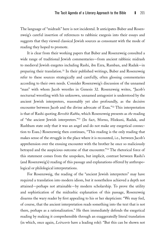The language of "midrash" here is not incidental. It anticipates Buber and Rosenzweig's careful insertion of references to rabbinic exegesis into their essays and suggests that they viewed classical Jewish sources as consonant with the mode of reading they hoped to promote.

It is clear from their working papers that Buber and Rosenzweig consulted a wide range of traditional Jewish commentaries—from ancient rabbinic midrash to medieval Jewish exegetes including Rashi, ibn Ezra, Ramban, and Radak—in preparing their translation.<sup>31</sup> In their published writings, Buber and Rosenzweig refer to these sources strategically and carefully, often glossing commentaries according to their own needs. Consider Rosenzweig's discussion of the unnamed "man" with whom Jacob wrestles in Genesis 32. Rosenzweig writes, "Jacob's nocturnal wrestling with his unknown, unnamed antagonist is understood by the ancient Jewish interpreters, reasonably yet also profoundly, as the decisive encounter between Jacob and the divine advocate of Esau."32 This interpretation is that of Rashi quoting *Bereshit Rabba*, which Rosenzweig presents as *the* reading of "the ancient Jewish interpreters."33 (In fact, Sforno, Hizkuni, Radak, and Rashbam state only that it was an angel and do not make any exegetical connection to Esau.) Rosenzweig then continues, "This reading is the only reading that makes sense of the struggle in the place where it is recounted, i.e., between Jacob's apprehension over the ensuing encounter with the brother he once so maliciously betrayed and the auspicious outcome of that encounter."<sup>34</sup> The rhetorical force of this statement comes from the unspoken, but implicit, contrast between Rashi's (and Rosenzweig's) reading of this passage and explanations offered by anthropological or philological interpretations.

For Rosenzweig, the reading of the "ancient Jewish interpreters" may have required a translation into modern idiom, but it nonetheless achieved a depth not attained—perhaps not attainable—by modern scholarship. To prove the utility and sophistication of the midrashic explanation of this passage, Rosenzweig disarms the wary reader by first appealing to his or her skepticism: "We may feel, of course, that the ancient interpretation reads something into the text that is not there, perhaps as a rationalization." He then immediately defends the exegetical reading by making it comprehensible through an exaggeratedly literal translation (in which, once again, *Leitworte* have a leading role): "But this can be shown not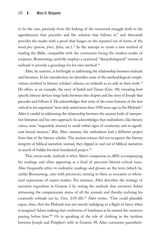to be the case, precisely from the linking of the nocturnal struggle both to the apprehension that precedes and the solution that follows it," and therewith provides the reader with a proof that hinges on the repeated use of forms of the word *face* (*panim*, *p'nei*, *lifnei*, etc.).35 In the attempt to create a new method of reading the Bible, compatible with the constraints facing the modern reader of scripture, Rosenzweig carefully employs a sanitized, "demythologized" version of midrash to provide a genealogy for his own method.<sup>36</sup>

Alter, by contrast, is forthright in addressing the relationship between midrash and literature. In his introduction, he identifies some of the methodological complications involved in literary scholars' reliance on midrash as an aide in their work.<sup>37</sup> He offers, as an example, the story of Judah and Tamar (Gen. 38), revealing how specific literary devices forge links between this chapter and the story of Joseph that precedes and follows it. He acknowledges that some of the exact features of the text critical to his argument "were duly noted more than 1500 years ago in the Midrash." Alter is candid in addressing the relationship between the ancient body of interpretive literature and his own approach: he acknowledges that midrashists, like literary critics, were "exquisitely attuned to small verbal signs of continuity and to significant lexical nuances." But, Alter cautions, the midrashists had a different project from that of the literary scholar. The ancient sources did not recognize the literary integrity of biblical narrative; instead, they dipped in and out of biblical narratives in search of fodder for their homiletical project.<sup>38</sup>

This caveat aside, midrash is often Alter's companion in *ABN*, accompanying his readings and often appearing as a kind of prescient literary-critical voice. Alter frequently refers to midrashic readings and glosses on the texts (which he, unlike Rosenzweig, cites with precision), turning to them as evocative or whimsical expressions of expert readers. For instance, Alter describes the strategy of narrative exposition in Genesis 2 by noting the midrash that envisions Adam witnessing the companionate status of all the animals and thereby realizing his creaturely solitude (*ad loc.* Gen. 2:19–20).39 Alter writes, "One could plausibly argue, then, that the Midrash was not merely indulging in a flight of fancy when it imagined Adam making that confession of loneliness as he named the creatures passing before him."40 Or in speaking of the role of clothing in the incident between Joseph and Potiphar's wife in Genesis 39, Alter comments parentheti-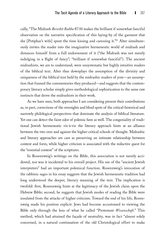cally, "The Midrash *Bereshit Rabba* 87:10 makes the brilliant if somewhat fanciful observation on the narrative specification of this laying-by of the garment that she [Potiphar's wife] spent the time kissing and caressing it."<sup>41</sup> Alter simultaneously invites the reader into the imaginative hermeneutic world of midrash and distances himself from a full endorsement of it ("the Midrash was not merely indulging in a flight of fancy"; "brilliant if somewhat fanciful"). The ancient midrashists, we are to understand, were unsystematic but highly intuitive readers of the biblical text. Alter thus downplays the assumption of the divinity and uniqueness of the biblical text held by the midrashic readers of yore—an assumption that framed the commentaries they produced—and suggests that the contemp porary literary scholar simply gives methodological sophistication to the same raw instincts that drove the midrashists in their work.

As we have seen, both approaches I am considering present their contributions as, in part, corrections of the oversights and blind spots of the critical-historical and narrowly philological perspectives that dominate the analysis of biblical literature. Yet one can detect the faint odor of polemic here as well. The congeniality of traditional Jewish hermeneutic vis-à-vis the literary approach hints at an alliance between the two over and against the higher-critical schools of thought. Midrashic and literary approaches are cast as preserving an intimate relationship between content and form, while higher criticism is associated with the reductive quest for the "essential content" of the scriptures.

In Rosenzweig's writings on the Bible, this association is not merely accidental, nor was it incidental to his overall project. His use of the "ancient Jewish interpreters" had an important polemical function. Rosenzweig's invocation of the rabbinic sages in his essay suggests that the Jewish hermeneutic tradition had long understood the deeper, literary meaning of the text. The implication is twofold: first, Rosenzweig hints at the legitimacy of the Jewish claim upon the Hebrew Bible; second, he suggests that Jewish modes of reading the Bible were insulated from the attacks of higher criticism. Toward the end of his life, Rosenzweig made his position explicit: Jews had become accustomed to viewing the Bible only through the lens of what he called "Protestant *Wissenschaft.*" This method, which had attained the façade of neutrality, was in fact "almost solely concerned, in a natural continuation of the old Christological effort to make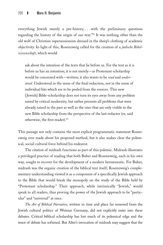everything Jewish merely a pre-history, . . . with the preliminary questions regarding the history of the origin of our text."42 It was nothing other than the old wolf of Christian supersessionism dressed in the sheep's clothing of academic objectivity. In light of this, Rosenzweig called for the creation of a *jüdische Bibelwissenschaft*, which would

ask about the intention of the texts that lie before us. For the text as it is before us has an intention; it is not merely—as Protestant scholarship would be concerned with—written; it also wants to be *read* and *unders stood*. Understood in the sense of the final redaction, not in the sense of individual bits which are to be peeled from the sources. This new [Jewish] Bible-scholarship does not turn its eyes away from any problem raised by critical modernity, but rather presents all problems that were already raised in the past as well as the ones that are only visible to the new Bible scholarship from the perspective of the last redactor (or, said otherwise, the first reader).<sup>43</sup>

This passage not only contains the most explicit programmatic statement Rosenzweig ever made about his proposed method, but it also makes clear the polemical, social-cultural force behind his endeavor.

The citation of midrash functions as part of this polemic. Midrash illustrates a privileged practice of reading that both Buber and Rosenzweig, each in his own way, sought to recover for the development of a modern hermeneutic. For Buber, midrash was the organic creation of the biblical text itself; Rosenzweig's complem mentary understanding viewed it as a component of a specifically Jewish approach to the Bible that would break the monopoly on the study of the Bible held by "Protestant scholarship." Their approach, while intrinsically "Jewish," would speak to all readers, thus proving the power of the Jewish approach to be "particular" and "universal" at once.

*The Art of Biblical Narrative*, written in time and place far removed from the Jewish cultural politics of Weimar Germany, did not explicitly enter into these debates. Critical biblical scholarship has lost much of its polemical edge and the tenor of debate has softened. But Alter's invocation of midrash may suggest that the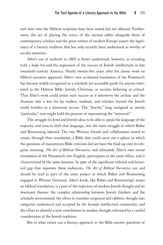turf wars over the Hebrew scriptures have been muted but not silenced. Furthermore, the act of placing the voices of the ancient rabbis alongside those of contemporary scholars and the great writers of modern Europe asserts the legitimacy of a literary tradition that has only recently been understood as worthy of secular attention.

Alter's use of midrash in *ABN* is better understood, however, as revealing both a hope for and the expression of the success of Jewish intellectuals in late twentieth-century America. Nearly twenty-five years after his classic work on biblical narrative appeared, Alter's own acclaimed translation of the Pentateuch has become widely recognized as a scholarly yet accessible guide for anyone intere ested in the Hebrew Bible: Jewish, Christian, or secular; believing or critical. That Alter's work could attain such success as it interwove the archaic and the Aramaic into a text for lay readers, students, and scholars beyond the Jewish world testifies to a historical *novum*. The "Jewish," long maligned as merely "particular," now might hold the promise of representing the "universal."

The struggle for Jews and Jewish ideas to be able to speak the language of the majority, and even to shift that language, was the same struggle in which Buber and Rosenzweig labored. The two Weimar friends and collaborators aimed to create, through their translation, a Bible that could carve out a sphere in which the questions of mainstream Bible criticism did not have the final say over its religious meaning. *The Art of Biblical Narrative*, and ultimately Alter's own recent translation of the Pentateuch into English, participates in the same effort, and is characterized by the same tensions. In spite of the significant cultural and historical gap that separates these endeavors, *The Art of Biblical Narrative* can and should be read as part of the same project in which Buber and Rosenzweig engaged in Weimar Germany. Alter's book, like Buber and Rosenzweig's essays on biblical translation, is a part of the trajectory of modern Jewish thought and its dominant themes: the complex relationship between Jewish thinkers and the scholarly environment; the effort to translate scriptural and rabbinic thought into categories understood and accepted by the broader intellectual community; and the effort to identify a new contribution to modern thought informed by a careful consideration of the Jewish tradition.

But to what extent can a literary approach to the Bible answer questions of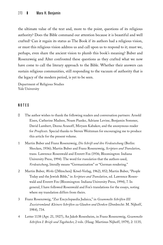the ultimate value of the text and, more to the point, questions of its religious authority? Does the Bible command our attention because it is beautiful and well crafted? Can it regain its status as The Book if its authors had a religious vision, or must this religious vision address us and call upon us to respond to it; must we, perhaps, even share the ancient vision to plumb this book's meaning? Buber and Rosenzweig and Alter confronted these questions as they crafted what we now have come to call the literary approach to the Bible. Whether their answers can sustain religious communities, still responding to the vacuum of authority that is the legacy of the modern period, is yet to be seen.

Department of Religious Studies Yale University

# NO T ES

- ¬ The author wishes to thank the following readers and conversation partners: Arnold Eisen, Catherine Madsen, Noam Pianko, Adriane Levine, Benjamin Sommer, David Lambert, Deena Aranoff, Miryam Kabakov, and the anonymous reader for *Prooftexts*. Special thanks to Steven Weitzman for encouraging me to produce this article for the present volume.
- 1 Martin Buber and Franz Rosenzweig, *Die Schrift und ihre Verdeutschung* (Berlin: Shocken, 1936); Martin Buber and Franz Rosenzweig, *Scripture and Translation*, trans. Lawrence Rosenwald and Everett Fox (1936; Bloomington: Indiana University Press, 1994). The word for *translation* that the authors used, *Verdeutschung*, literally means "Germanization" or "German rendering."
- 2 Martin Buber, *Werke* ([München]: Kösel-Verlag, 1962), 852; Martin Buber, "People Today and the Jewish Bible," in *Scripture and Translation*, ed. Lawrence Rosenw wald and Everett Fox (Bloomington: Indiana University Press, 1994), 7. In general, I have followed Rosenwald and Fox's translations for the essays, noting where my translation differs from theirs.
- 3 Franz Rosenzweig, "Zur Encyclopaedia Judaica," in *Gesammelte Schriften III: Zweistromland: Kleinere Schriften zu Glauben und Denken* (Dordrecht: M. Nijhoff, 1984), 734.
- 4 Letter 1138 (Apr. 21, 1927), An Jakob Rosenheim, in Franz Rosenzweig, *Gesammelte Schriften I: Briefe und Tagebücher*, 2 vols. (Haag: Martinus Nijhoff, 1979), 2: 1135;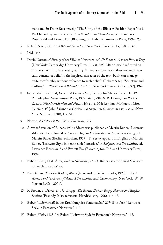translated in Franz Rosenzweig, "The Unity of the Bible: A Position Paper Vis-à-Vis Orthodoxy and Liberalism," in *Scripture and Translation*, ed. Lawrence Rosenwald and Everett Fox (Bloomington: Indiana University Press, 1994), 23.

- 5 Robert Alter, *The Art of Biblical Narrative* (New York: Basic Books, 1981), 143.
- 6 Ibid., 145.
- 7 David Norton, *A History of the Bible as Literature*, *vol. II: From 1700 to the Present Day*  (New York: Cambridge University Press, 1993), 385. Alter himself reflected on this very point in a later essay, stating, "Literary appreciation does not automatically contradict belief in the inspired character of the text, but it can manage quite comfortably without reference to such belief" (Robert Alter, "Scripture and Culture," in *The World of Biblical Literature* [New York: Basic Books, 1992], 194).
- 8 See Gerhard von Rad, *Genesis: A Commentary*, trans. John Marks, rev. ed. (1949; Philadelphia: Westminster Press, 1972), 47ff, 73ff; S. R. Driver, *The Book of Genesis: With Introduction and Notes*, 11th ed. (1904; London: Methuen, 1920), 35–36, 51ff; John Skinner, *A Critical and Exegetical Commentary on Genesis* (New York: Scribner, 1910), 1–2, 51ff.
- 9 Norton, *A History of the Bible as Literature*, 389.
- 10 A revised version of Buber's 1927 address was published as Martin Buber, "Leitwortstil in der Erzählung des Pentateuchs," in *Die Schrift und ihre Verdeutschung*, ed. Martin Buber (Berlin: Schocken, 1927). The essay appears in English as Martin Buber, "Leitwort Style in Pentateuch Narrative," in *Scripture and Translation*, ed. Lawrence Rosenwald and Everett Fox (Bloomington: Indiana University Press, 1994).
- 11 Buber, *Werke*, 1131; Alter, *Biblical Narrative*, 92–93. Buber uses the plural *Leitworte* rather than *Leitwörter*.
- 12 Everett Fox, *The Five Books of Moses* (New York: Shocken Books, 1995); Robert Alter, *The Five Books of Moses: A Translation with Commentary* (New York: W. W. Norton & Co., 2004).
- 13 F. Brown, S. Driver, and C. Briggs, *The Brown-Driver-Briggs Hebrew and English Lexicon* (Peabody, Massachusetts: Hendrickson, 1906), 416–18.
- 14 Buber, "Leitwortstil in der Erzählung des Pentateuchs," 217–18; Buber, "Leitwort Style in Pentateuch Narrative," 118.
- 15 Buber, *Werke*, 1135–36; Buber, "Leitwort Style in Pentateuch Narrative," 118.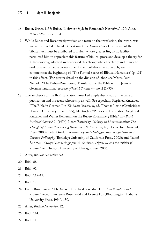- 16 Buber, *Werke*, 1138; Buber, "Leitwort Style in Pentateuch Narrative," 120; Alter, *Biblical Narrative*, 135ff.
- 17 While Buber and Rosenzweig worked as a team on the translation, their work was unevenly divided. The identification of the *Leitwort* as a key feature of the biblical text must be attributed to Buber, whose greater linguistic facility permitted him to appreciate this feature of biblical prose and develop a theory for it. Rosenzweig adopted and endorsed this theory wholeheartedly and it may be said to have formed a cornerstone of their collaborative approach; see his comments at the beginning of "The Formal Secret of Biblical Narratives" (p. 131) to this effect. (For greater detail on the division of labor, see Maren Ruth Niehoff, "The Buber-Rosenzweig Translation of the Bible within Jewish-German Tradition," *Journal of Jewish Studies* 44, no. 2 (1993).)
- 18 The aesthetics of the B-R translation provoked ample discussion at the time of publication and in recent scholarship as well. See especially Siegfried Kracauer, "The Bible in German," in *The Mass Ornament*, ed. Thomas Levin (Cambridge: Harvard University Press, 1995); Martin Jay, "Politics of Translation: Siegfried Kracauer and Walter Benjamin on the Buber-Rosenzweig Bible," *Leo Baeck Institute Yearbook* 21 (1976); Leora Batnitzky, *Idolatry and Representation: The Thought of Franz Rosenzweig Reconsidered* (Princeton, N.J.: Princeton University Press, 2000); Peter Gordon, *Rosenzweig and Heidegger: Between Judaism and German Philosophy* (Berkeley: University of California Press, 2003); and Naomi Seidman, *Faithful Renderings: Jewish-Christian Difference and the Politics of Translation* (Chicago: University of Chicago Press, 2006).
- 19 Alter, *Biblical Narrative*, 92.
- 20 Ibid., 88.
- 21 Ibid., 92.
- 22 Ibid., 112–13.
- 23 Ibid., 19.
- 24 Franz Rosenzweig, "The Secret of Biblical Narrative Form," in *Scripture and Translation*, ed. Lawrence Rosenwald and Everett Fox (Bloomington: Indiana University Press, 1994), 130.
- 25 Alter, *Biblical Narrative*, 12.
- 26 Ibid., 114.
- 27 Ibid., 115.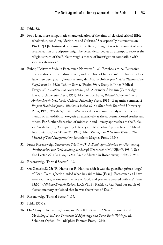- 28 Ibid., 62.
- 29 For a later, more sympathetic characterization of the aims of classical critical Bible scholarship, see Alter, "Scripture and Culture." See especially his remarks on 194ff.: "[T]he historical criticism of the Bible, though it is often thought of as a secularization of Scripture, might be better described as an attempt to recover the religious truth of the Bible through a means of investigation compatible with secular categories."
- 30 Buber, "Leitwort Style in Pentateuch Narrative," 120. Emphasis mine. Extensive investigations of the nature, scope, and function of biblical intertextualiy include Isaac Leo Seeligman, "Voraussetzung der Midrasch-Exegese," *Vetus Testamentum Supplement* 1 (1953); Nahum Sarna, "Psalm 89: A Study in Inner-Biblical Exegesis," in *Biblical and Other Studies*, ed. Alexander Altmann (Cambridge: Harvard University Press, 1963); Michael Fishbane, *Biblical Interpretation in Ancient Israel* (New York: Oxford University Press, 1985); Benjamin Sommer, *A Prophet Reads Scripture: Allusion in Isaiah 40–66* (Stanford: Stanford University Press, 1998). *The Art of Biblical Narrative* does not aim to analyze the phenomenon of inner-biblical exegesis as extensively as the abovementioned studies and others. For further discussion of midrashic and literary approaches to the Bible, see Sarah Kamin, "Comparing Literary and Midrashic Approaches to Biblical Interpretation," *Bet Mikra* 21 (1976); Meir Weiss, *The Bible from Within: The Method of Total Interpretation* (Jerusalem: Magnes Press, 1984).
- 31 Franz Rosenzweig, *Gesammelte Schriften IV, 2. Band. Sprachdenken im Übersetzung. Arbeitspapiere zur Verdeutschung der Schrift* (Dordrecht: M. Nijhoff, 1984). See also Letter 953 (Aug. 27, 1924), An die Mutter, in Rosenzweig, *Briefe,* 2: 987.
- 32 Rosenzweig, "Formal Secret," 137.
- 33 On Genesis 32:25: "R. Hama bar R. Hanina said: It was the guardian prince [angel] of Esau. To this Jacob alluded when he said to him [Esau]: 'Forasmuch as I have seen your face, as one sees the face of God, and you were pleased with me' [Gen. 33:10]" (*Midrash Bereshit Rabba*, LXXVII:3); Rashi, *ad loc*.: "And our rabbis of blessed memory explained that he was the prince of Esau."
- 34 Rosenzweig, "Formal Secret," 137.
- 35 Ibid., 137–38.
- 36 On "demythologization," compare Rudolf Bultmann, "New Testament and Mythology," in *New Testament & Mythology and Other Basic Writings*, ed. Schubert Ogden (Philadelphia: Fortress Press, 1984).